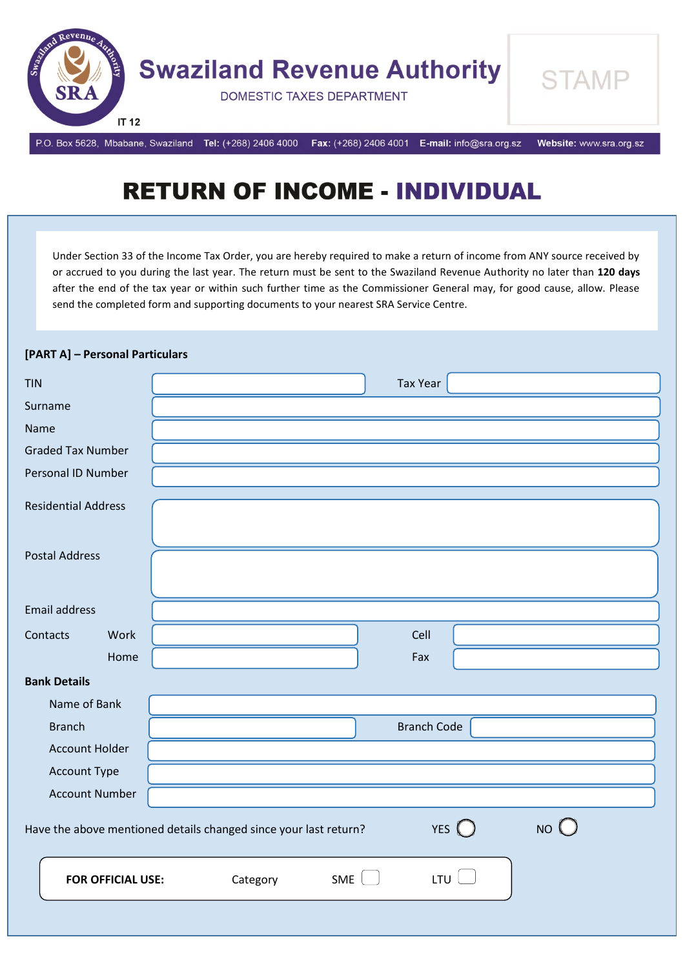

# **RETURN OF INCOME - INDIVIDUAL**

Under Section 33 of the Income Tax Order, you are hereby required to make a return of income from ANY source received by or accrued to you during the last year. The return must be sent to the Swaziland Revenue Authority no later than **120 days**  after the end of the tax year or within such further time as the Commissioner General may, for good cause, allow. Please send the completed form and supporting documents to your nearest SRA Service Centre.

| [PART A] - Personal Particulars |                                                                                          |
|---------------------------------|------------------------------------------------------------------------------------------|
| <b>TIN</b>                      | <b>Tax Year</b>                                                                          |
| Surname                         |                                                                                          |
| Name                            |                                                                                          |
| <b>Graded Tax Number</b>        |                                                                                          |
| Personal ID Number              |                                                                                          |
| <b>Residential Address</b>      |                                                                                          |
| <b>Postal Address</b>           |                                                                                          |
| <b>Email address</b>            |                                                                                          |
| Work<br>Contacts                | Cell                                                                                     |
| Home                            | Fax                                                                                      |
| <b>Bank Details</b>             |                                                                                          |
| Name of Bank                    |                                                                                          |
| <b>Branch</b>                   | <b>Branch Code</b>                                                                       |
| <b>Account Holder</b>           |                                                                                          |
| Account Type                    |                                                                                          |
| <b>Account Number</b>           |                                                                                          |
|                                 | NO<br>YES $\bigcirc$<br>Have the above mentioned details changed since your last return? |
| <b>FOR OFFICIAL USE:</b>        | <b>LTU</b><br>SME<br>Category                                                            |
|                                 |                                                                                          |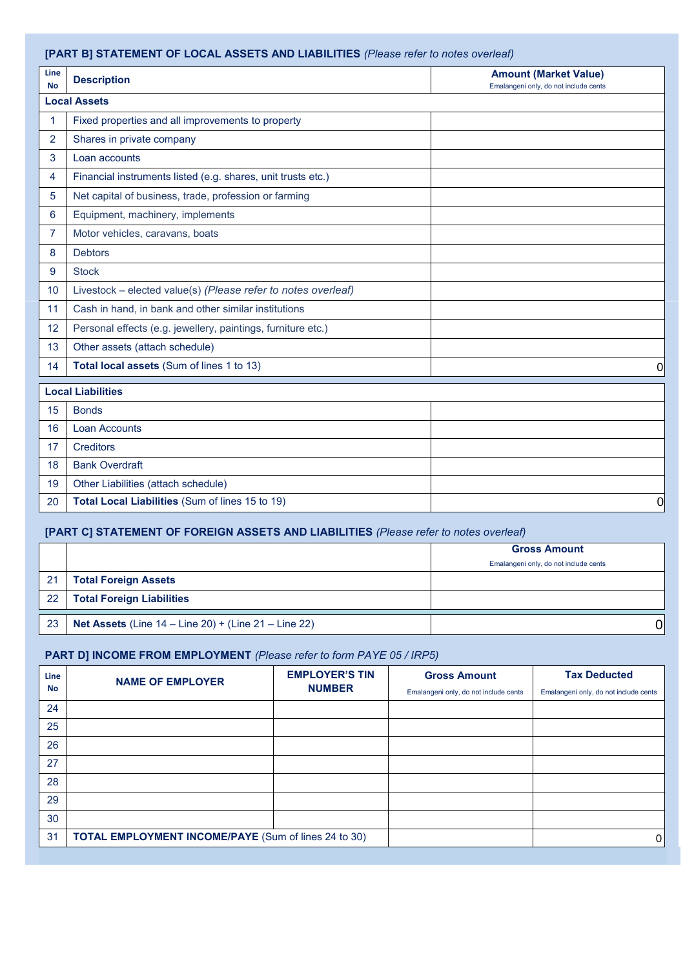#### **[PART B] STATEMENT OF LOCAL ASSETS AND LIABILITIES** *(Please refer to notes overleaf)*

| Line<br><b>No</b> | <b>Description</b>                                            | <b>Amount (Market Value)</b><br>Emalangeni only, do not include cents |  |  |  |
|-------------------|---------------------------------------------------------------|-----------------------------------------------------------------------|--|--|--|
|                   | <b>Local Assets</b>                                           |                                                                       |  |  |  |
| 1                 | Fixed properties and all improvements to property             |                                                                       |  |  |  |
| $\overline{2}$    | Shares in private company                                     |                                                                       |  |  |  |
| 3                 | Loan accounts                                                 |                                                                       |  |  |  |
| 4                 | Financial instruments listed (e.g. shares, unit trusts etc.)  |                                                                       |  |  |  |
| 5                 | Net capital of business, trade, profession or farming         |                                                                       |  |  |  |
| 6                 | Equipment, machinery, implements                              |                                                                       |  |  |  |
| 7                 | Motor vehicles, caravans, boats                               |                                                                       |  |  |  |
| 8                 | <b>Debtors</b>                                                |                                                                       |  |  |  |
| 9                 | <b>Stock</b>                                                  |                                                                       |  |  |  |
| 10                | Livestock – elected value(s) (Please refer to notes overleaf) |                                                                       |  |  |  |
| 11                | Cash in hand, in bank and other similar institutions          |                                                                       |  |  |  |
| 12                | Personal effects (e.g. jewellery, paintings, furniture etc.)  |                                                                       |  |  |  |
| 13                | Other assets (attach schedule)                                |                                                                       |  |  |  |
| 14                | Total local assets (Sum of lines 1 to 13)                     | $\mathbf 0$                                                           |  |  |  |
|                   | <b>Local Liabilities</b>                                      |                                                                       |  |  |  |
| 15                | <b>Bonds</b>                                                  |                                                                       |  |  |  |
| 16                | Loan Accounts                                                 |                                                                       |  |  |  |
| 17                | <b>Creditors</b>                                              |                                                                       |  |  |  |
| 18                | <b>Bank Overdraft</b>                                         |                                                                       |  |  |  |
| 19                | Other Liabilities (attach schedule)                           |                                                                       |  |  |  |
| 20                | Total Local Liabilities (Sum of lines 15 to 19)               | $\overline{0}$                                                        |  |  |  |

# **[PART C] STATEMENT OF FOREIGN ASSETS AND LIABILITIES** *(Please refer to notes overleaf)*

|     |                                                                       | <b>Gross Amount</b>                   |
|-----|-----------------------------------------------------------------------|---------------------------------------|
|     |                                                                       | Emalangeni only, do not include cents |
| 21  | <b>Total Foreign Assets</b>                                           |                                       |
| -22 | <b>Total Foreign Liabilities</b>                                      |                                       |
| 23  | <b>Net Assets</b> (Line $14 -$ Line $20$ ) + (Line $21 -$ Line $22$ ) | 01                                    |

# **PART D] INCOME FROM EMPLOYMENT** *(Please refer to form PAYE 05 / IRP5)*

| Line | <b>NAME OF EMPLOYER</b>                                     | <b>EMPLOYER'S TIN</b> | <b>Gross Amount</b>                   | <b>Tax Deducted</b>                   |
|------|-------------------------------------------------------------|-----------------------|---------------------------------------|---------------------------------------|
| No   |                                                             | <b>NUMBER</b>         | Emalangeni only, do not include cents | Emalangeni only, do not include cents |
| 24   |                                                             |                       |                                       |                                       |
| 25   |                                                             |                       |                                       |                                       |
| 26   |                                                             |                       |                                       |                                       |
| 27   |                                                             |                       |                                       |                                       |
| 28   |                                                             |                       |                                       |                                       |
| 29   |                                                             |                       |                                       |                                       |
| 30   |                                                             |                       |                                       |                                       |
| 31   | <b>TOTAL EMPLOYMENT INCOME/PAYE (Sum of lines 24 to 30)</b> |                       |                                       | 0                                     |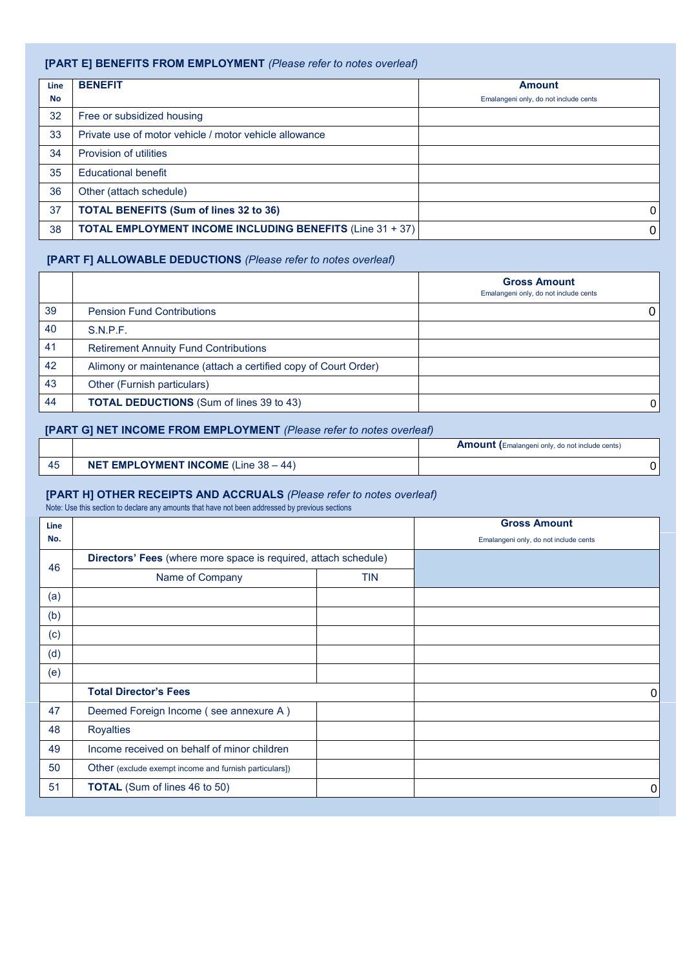#### **[PART E] BENEFITS FROM EMPLOYMENT** *(Please refer to notes overleaf)*

| <b>Line</b> | <b>BENEFIT</b>                                                   | <b>Amount</b>                         |
|-------------|------------------------------------------------------------------|---------------------------------------|
| <b>No</b>   |                                                                  | Emalangeni only, do not include cents |
| 32          | Free or subsidized housing                                       |                                       |
| 33          | Private use of motor vehicle / motor vehicle allowance           |                                       |
| 34          | Provision of utilities                                           |                                       |
| 35          | <b>Educational benefit</b>                                       |                                       |
| 36          | Other (attach schedule)                                          |                                       |
| 37          | <b>TOTAL BENEFITS (Sum of lines 32 to 36)</b>                    | $\overline{0}$                        |
| 38          | <b>TOTAL EMPLOYMENT INCOME INCLUDING BENEFITS (Line 31 + 37)</b> | $\overline{0}$                        |

#### **[PART F] ALLOWABLE DEDUCTIONS** *(Please refer to notes overleaf)*

|    |                                                                 | <b>Gross Amount</b><br>Emalangeni only, do not include cents |
|----|-----------------------------------------------------------------|--------------------------------------------------------------|
| 39 | <b>Pension Fund Contributions</b>                               |                                                              |
| 40 | S.N.P.F.                                                        |                                                              |
| 41 | <b>Retirement Annuity Fund Contributions</b>                    |                                                              |
| 42 | Alimony or maintenance (attach a certified copy of Court Order) |                                                              |
| 43 | Other (Furnish particulars)                                     |                                                              |
| 44 | <b>TOTAL DEDUCTIONS</b> (Sum of lines 39 to 43)                 | 0                                                            |

#### **[PART G] NET INCOME FROM EMPLOYMENT** *(Please refer to notes overleaf)*

|                                                | <b>Amount</b> (Emalangeni only, do not include cents) |
|------------------------------------------------|-------------------------------------------------------|
| <b>NET EMPLOYMENT INCOME</b> (Line $38 - 44$ ) |                                                       |

#### **[PART H] OTHER RECEIPTS AND ACCRUALS** *(Please refer to notes overleaf)*

Note: Use this section to declare any amounts that have not been addressed by previous sections

| <b>Line</b> |                                                                 | <b>Gross Amount</b>                   |
|-------------|-----------------------------------------------------------------|---------------------------------------|
| No.         |                                                                 | Emalangeni only, do not include cents |
| 46          | Directors' Fees (where more space is required, attach schedule) |                                       |
|             | Name of Company<br><b>TIN</b>                                   |                                       |
| (a)         |                                                                 |                                       |
| (b)         |                                                                 |                                       |
| (c)         |                                                                 |                                       |
| (d)         |                                                                 |                                       |
| (e)         |                                                                 |                                       |
|             | <b>Total Director's Fees</b>                                    | 0                                     |
| 47          | Deemed Foreign Income (see annexure A)                          |                                       |
| 48          | <b>Royalties</b>                                                |                                       |
| 49          | Income received on behalf of minor children                     |                                       |
| 50          | Other (exclude exempt income and furnish particulars])          |                                       |
| 51          | <b>TOTAL</b> (Sum of lines 46 to 50)                            | 0                                     |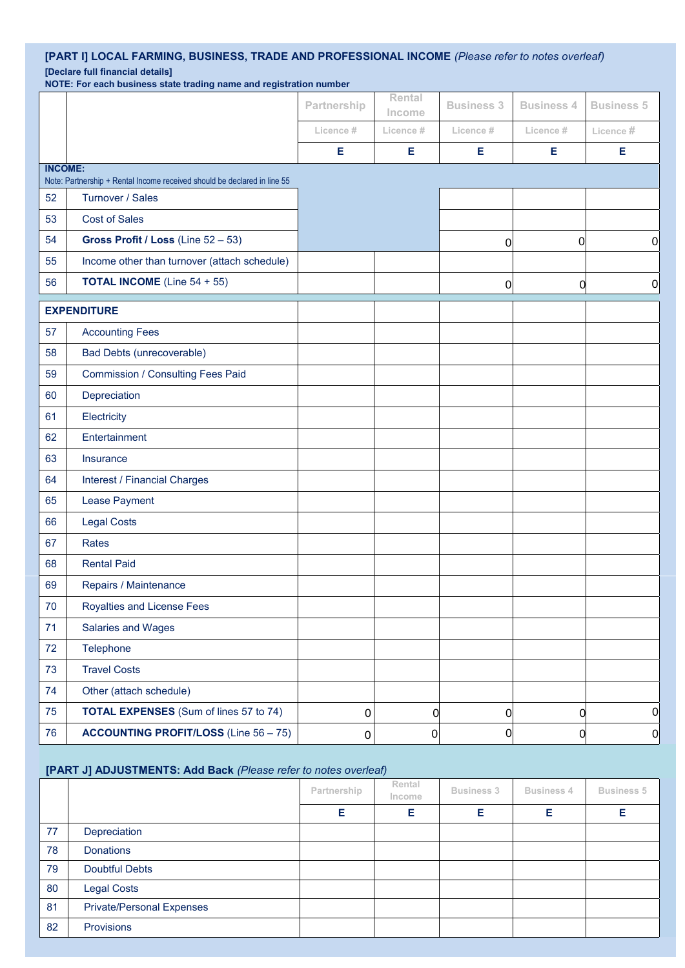## **[PART I] LOCAL FARMING, BUSINESS, TRADE AND PROFESSIONAL INCOME** *(Please refer to notes overleaf)* **[Declare full financial details]**

**NOTE: For each business state trading name and registration number**

|                |                                                                          | Partnership | Rental<br>Income | <b>Business 3</b> | <b>Business 4</b> | <b>Business 5</b> |
|----------------|--------------------------------------------------------------------------|-------------|------------------|-------------------|-------------------|-------------------|
|                |                                                                          | Licence #   | Licence #        | Licence#          | Licence #         | Licence #         |
|                |                                                                          | E           | Е                | E                 | Е                 | Е                 |
| <b>INCOME:</b> | Note: Partnership + Rental Income received should be declared in line 55 |             |                  |                   |                   |                   |
| 52             | Turnover / Sales                                                         |             |                  |                   |                   |                   |
| 53             | <b>Cost of Sales</b>                                                     |             |                  |                   |                   |                   |
| 54             | Gross Profit / Loss (Line 52 - 53)                                       |             |                  | $\overline{0}$    | $\overline{0}$    | $\boldsymbol{0}$  |
| 55             | Income other than turnover (attach schedule)                             |             |                  |                   |                   |                   |
| 56             | <b>TOTAL INCOME</b> (Line 54 + 55)                                       |             |                  | $\overline{0}$    | $\mathbf 0$       | $\overline{0}$    |
|                | <b>EXPENDITURE</b>                                                       |             |                  |                   |                   |                   |
| 57             | <b>Accounting Fees</b>                                                   |             |                  |                   |                   |                   |
| 58             | Bad Debts (unrecoverable)                                                |             |                  |                   |                   |                   |
| 59             | <b>Commission / Consulting Fees Paid</b>                                 |             |                  |                   |                   |                   |
| 60             | Depreciation                                                             |             |                  |                   |                   |                   |
| 61             | Electricity                                                              |             |                  |                   |                   |                   |
| 62             | Entertainment                                                            |             |                  |                   |                   |                   |
| 63             | Insurance                                                                |             |                  |                   |                   |                   |
| 64             | <b>Interest / Financial Charges</b>                                      |             |                  |                   |                   |                   |
| 65             | Lease Payment                                                            |             |                  |                   |                   |                   |
| 66             | <b>Legal Costs</b>                                                       |             |                  |                   |                   |                   |
| 67             | Rates                                                                    |             |                  |                   |                   |                   |
| 68             | <b>Rental Paid</b>                                                       |             |                  |                   |                   |                   |
| 69             | Repairs / Maintenance                                                    |             |                  |                   |                   |                   |
| $70\,$         | Royalties and License Fees                                               |             |                  |                   |                   |                   |
| 71             | Salaries and Wages                                                       |             |                  |                   |                   |                   |
| 72             | Telephone                                                                |             |                  |                   |                   |                   |
| 73             | <b>Travel Costs</b>                                                      |             |                  |                   |                   |                   |
| 74             | Other (attach schedule)                                                  |             |                  |                   |                   |                   |
| 75             | <b>TOTAL EXPENSES</b> (Sum of lines 57 to 74)                            | $\pmb{0}$   | 0                | $\overline{0}$    | 0                 | $\overline{0}$    |
| 76             | <b>ACCOUNTING PROFIT/LOSS (Line 56 - 75)</b>                             | $\pmb{0}$   | 0                | $\boldsymbol{0}$  | 0                 | $\overline{0}$    |

#### **[PART J] ADJUSTMENTS: Add Back** *(Please refer to notes overleaf)*

|    |                                  | Partnership | Rental<br>Income | <b>Business 3</b> | <b>Business 4</b> | <b>Business 5</b> |
|----|----------------------------------|-------------|------------------|-------------------|-------------------|-------------------|
|    |                                  | Е           | Е                | F                 | Е                 | Е                 |
| 77 | Depreciation                     |             |                  |                   |                   |                   |
| 78 | <b>Donations</b>                 |             |                  |                   |                   |                   |
| 79 | <b>Doubtful Debts</b>            |             |                  |                   |                   |                   |
| 80 | <b>Legal Costs</b>               |             |                  |                   |                   |                   |
| 81 | <b>Private/Personal Expenses</b> |             |                  |                   |                   |                   |
| 82 | Provisions                       |             |                  |                   |                   |                   |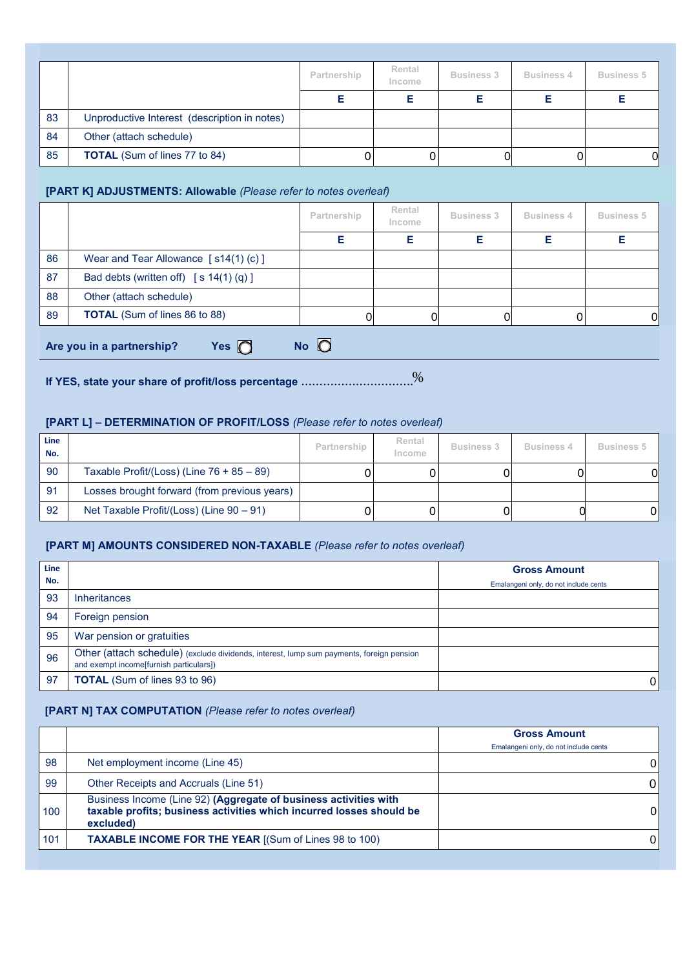|    |                                              | Partnership | Rental<br>Income | <b>Business 3</b> | <b>Business 4</b> | <b>Business 5</b> |
|----|----------------------------------------------|-------------|------------------|-------------------|-------------------|-------------------|
|    |                                              |             |                  |                   |                   |                   |
| 83 | Unproductive Interest (description in notes) |             |                  |                   |                   |                   |
| 84 | Other (attach schedule)                      |             |                  |                   |                   |                   |
| 85 | <b>TOTAL</b> (Sum of lines 77 to 84)         |             |                  | 0                 |                   | 01                |

#### **[PART K] ADJUSTMENTS: Allowable** *(Please refer to notes overleaf)*

|    |                                                            | Partnership | Rental<br>Income | <b>Business 3</b> | <b>Business 4</b> | <b>Business 5</b> |  |
|----|------------------------------------------------------------|-------------|------------------|-------------------|-------------------|-------------------|--|
|    |                                                            | Е           | Е                | Е                 |                   | Е                 |  |
| 86 | Wear and Tear Allowance $\lceil s14(1)(c) \rceil$          |             |                  |                   |                   |                   |  |
| 87 | Bad debts (written off) $[s 14(1) (q)]$                    |             |                  |                   |                   |                   |  |
| 88 | Other (attach schedule)                                    |             |                  |                   |                   |                   |  |
| 89 | <b>TOTAL</b> (Sum of lines 86 to 88)                       |             |                  |                   |                   | ΟI                |  |
|    | $N$ o $\Box$<br>Yes $\bigcap$<br>Are you in a partnership? |             |                  |                   |                   |                   |  |

**If YES, state your share of profit/loss percentage ………………………….** %

## **[PART L] – DETERMINATION OF PROFIT/LOSS** *(Please refer to notes overleaf)*

| Line<br>No. |                                              | Partnership | Rental<br>Income | <b>Business 3</b> | Business 4 | <b>Business 5</b> |
|-------------|----------------------------------------------|-------------|------------------|-------------------|------------|-------------------|
| 90          | Taxable Profit/(Loss) (Line $76 + 85 - 89$ ) |             |                  |                   |            | OI                |
| 91          | Losses brought forward (from previous years) |             |                  |                   |            |                   |
| 92          | Net Taxable Profit/(Loss) (Line 90 - 91)     |             |                  |                   |            | 01                |

#### **[PART M] AMOUNTS CONSIDERED NON-TAXABLE** *(Please refer to notes overleaf)*

| Line |                                                                                                                                     | <b>Gross Amount</b>                   |
|------|-------------------------------------------------------------------------------------------------------------------------------------|---------------------------------------|
| No.  |                                                                                                                                     | Emalangeni only, do not include cents |
| 93   | <b>Inheritances</b>                                                                                                                 |                                       |
| 94   | Foreign pension                                                                                                                     |                                       |
| 95   | War pension or gratuities                                                                                                           |                                       |
| 96   | Other (attach schedule) (exclude dividends, interest, lump sum payments, foreign pension<br>and exempt income[furnish particulars]) |                                       |
| 97   | <b>TOTAL</b> (Sum of lines 93 to 96)                                                                                                | 0                                     |

#### **[PART N] TAX COMPUTATION** *(Please refer to notes overleaf)*

|     |                                                                                                                                                       | <b>Gross Amount</b><br>Emalangeni only, do not include cents |
|-----|-------------------------------------------------------------------------------------------------------------------------------------------------------|--------------------------------------------------------------|
| 98  | Net employment income (Line 45)                                                                                                                       | 01                                                           |
| 99  | Other Receipts and Accruals (Line 51)                                                                                                                 | ΟI                                                           |
| 100 | Business Income (Line 92) (Aggregate of business activities with<br>taxable profits; business activities which incurred losses should be<br>excluded) | 01                                                           |
| 101 | <b>TAXABLE INCOME FOR THE YEAR [(Sum of Lines 98 to 100)</b>                                                                                          | $\overline{0}$                                               |